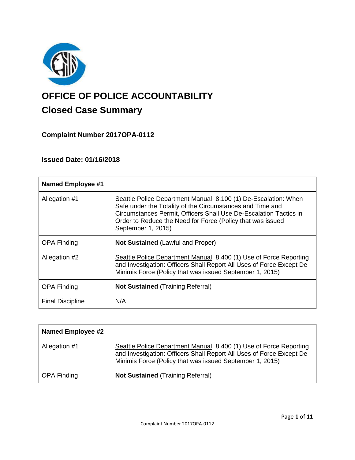

# **OFFICE OF POLICE ACCOUNTABILITY**

# **Closed Case Summary**

## **Complaint Number 2017OPA-0112**

## **Issued Date: 01/16/2018**

| <b>Named Employee #1</b> |                                                                                                                                                                                                                                                                                      |
|--------------------------|--------------------------------------------------------------------------------------------------------------------------------------------------------------------------------------------------------------------------------------------------------------------------------------|
| Allegation #1            | Seattle Police Department Manual 8.100 (1) De-Escalation: When<br>Safe under the Totality of the Circumstances and Time and<br>Circumstances Permit, Officers Shall Use De-Escalation Tactics in<br>Order to Reduce the Need for Force (Policy that was issued<br>September 1, 2015) |
| <b>OPA Finding</b>       | <b>Not Sustained (Lawful and Proper)</b>                                                                                                                                                                                                                                             |
| Allegation #2            | Seattle Police Department Manual 8.400 (1) Use of Force Reporting<br>and Investigation: Officers Shall Report All Uses of Force Except De<br>Minimis Force (Policy that was issued September 1, 2015)                                                                                |
| <b>OPA Finding</b>       | <b>Not Sustained (Training Referral)</b>                                                                                                                                                                                                                                             |
| <b>Final Discipline</b>  | N/A                                                                                                                                                                                                                                                                                  |

| <b>Named Employee #2</b> |                                                                                                                                                                                                       |
|--------------------------|-------------------------------------------------------------------------------------------------------------------------------------------------------------------------------------------------------|
| Allegation #1            | Seattle Police Department Manual 8.400 (1) Use of Force Reporting<br>and Investigation: Officers Shall Report All Uses of Force Except De<br>Minimis Force (Policy that was issued September 1, 2015) |
| <b>OPA Finding</b>       | <b>Not Sustained (Training Referral)</b>                                                                                                                                                              |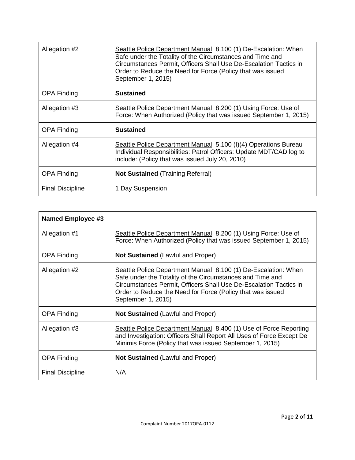| Allegation #2           | Seattle Police Department Manual 8.100 (1) De-Escalation: When<br>Safe under the Totality of the Circumstances and Time and<br>Circumstances Permit, Officers Shall Use De-Escalation Tactics in<br>Order to Reduce the Need for Force (Policy that was issued<br>September 1, 2015) |
|-------------------------|--------------------------------------------------------------------------------------------------------------------------------------------------------------------------------------------------------------------------------------------------------------------------------------|
| <b>OPA Finding</b>      | <b>Sustained</b>                                                                                                                                                                                                                                                                     |
| Allegation #3           | Seattle Police Department Manual 8.200 (1) Using Force: Use of<br>Force: When Authorized (Policy that was issued September 1, 2015)                                                                                                                                                  |
| <b>OPA Finding</b>      | <b>Sustained</b>                                                                                                                                                                                                                                                                     |
| Allegation #4           | Seattle Police Department Manual 5.100 (I)(4) Operations Bureau<br>Individual Responsibilities: Patrol Officers: Update MDT/CAD log to<br>include: (Policy that was issued July 20, 2010)                                                                                            |
| <b>OPA Finding</b>      | <b>Not Sustained</b> (Training Referral)                                                                                                                                                                                                                                             |
| <b>Final Discipline</b> | 1 Day Suspension                                                                                                                                                                                                                                                                     |

| <b>Named Employee #3</b> |                                                                                                                                                                                                                                                                                      |
|--------------------------|--------------------------------------------------------------------------------------------------------------------------------------------------------------------------------------------------------------------------------------------------------------------------------------|
| Allegation #1            | Seattle Police Department Manual 8.200 (1) Using Force: Use of<br>Force: When Authorized (Policy that was issued September 1, 2015)                                                                                                                                                  |
| <b>OPA Finding</b>       | <b>Not Sustained (Lawful and Proper)</b>                                                                                                                                                                                                                                             |
| Allegation #2            | Seattle Police Department Manual 8.100 (1) De-Escalation: When<br>Safe under the Totality of the Circumstances and Time and<br>Circumstances Permit, Officers Shall Use De-Escalation Tactics in<br>Order to Reduce the Need for Force (Policy that was issued<br>September 1, 2015) |
| <b>OPA Finding</b>       | <b>Not Sustained (Lawful and Proper)</b>                                                                                                                                                                                                                                             |
| Allegation #3            | Seattle Police Department Manual 8.400 (1) Use of Force Reporting<br>and Investigation: Officers Shall Report All Uses of Force Except De<br>Minimis Force (Policy that was issued September 1, 2015)                                                                                |
| <b>OPA Finding</b>       | <b>Not Sustained</b> (Lawful and Proper)                                                                                                                                                                                                                                             |
| <b>Final Discipline</b>  | N/A                                                                                                                                                                                                                                                                                  |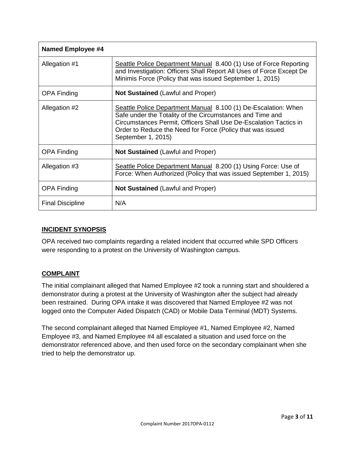| <b>Named Employee #4</b> |                                                                                                                                                                                                                                                                                      |
|--------------------------|--------------------------------------------------------------------------------------------------------------------------------------------------------------------------------------------------------------------------------------------------------------------------------------|
| Allegation #1            | Seattle Police Department Manual 8.400 (1) Use of Force Reporting<br>and Investigation: Officers Shall Report All Uses of Force Except De<br>Minimis Force (Policy that was issued September 1, 2015)                                                                                |
| <b>OPA Finding</b>       | <b>Not Sustained</b> (Lawful and Proper)                                                                                                                                                                                                                                             |
| Allegation #2            | Seattle Police Department Manual 8.100 (1) De-Escalation: When<br>Safe under the Totality of the Circumstances and Time and<br>Circumstances Permit, Officers Shall Use De-Escalation Tactics in<br>Order to Reduce the Need for Force (Policy that was issued<br>September 1, 2015) |
| <b>OPA Finding</b>       | <b>Not Sustained</b> (Lawful and Proper)                                                                                                                                                                                                                                             |
| Allegation #3            | Seattle Police Department Manual 8.200 (1) Using Force: Use of<br>Force: When Authorized (Policy that was issued September 1, 2015)                                                                                                                                                  |
| <b>OPA Finding</b>       | <b>Not Sustained (Lawful and Proper)</b>                                                                                                                                                                                                                                             |
| <b>Final Discipline</b>  | N/A                                                                                                                                                                                                                                                                                  |

#### **INCIDENT SYNOPSIS**

OPA received two complaints regarding a related incident that occurred while SPD Officers were responding to a protest on the University of Washington campus.

#### **COMPLAINT**

The initial complainant alleged that Named Employee #2 took a running start and shouldered a demonstrator during a protest at the University of Washington after the subject had already been restrained. During OPA intake it was discovered that Named Employee #2 was not logged onto the Computer Aided Dispatch (CAD) or Mobile Data Terminal (MDT) Systems.

The second complainant alleged that Named Employee #1, Named Employee #2, Named Employee #3, and Named Employee #4 all escalated a situation and used force on the demonstrator referenced above, and then used force on the secondary complainant when she tried to help the demonstrator up.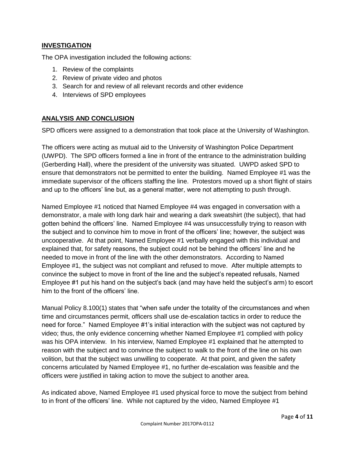#### **INVESTIGATION**

The OPA investigation included the following actions:

- 1. Review of the complaints
- 2. Review of private video and photos
- 3. Search for and review of all relevant records and other evidence
- 4. Interviews of SPD employees

#### **ANALYSIS AND CONCLUSION**

SPD officers were assigned to a demonstration that took place at the University of Washington.

The officers were acting as mutual aid to the University of Washington Police Department (UWPD). The SPD officers formed a line in front of the entrance to the administration building (Gerberding Hall), where the president of the university was situated. UWPD asked SPD to ensure that demonstrators not be permitted to enter the building. Named Employee #1 was the immediate supervisor of the officers staffing the line. Protestors moved up a short flight of stairs and up to the officers' line but, as a general matter, were not attempting to push through.

Named Employee #1 noticed that Named Employee #4 was engaged in conversation with a demonstrator, a male with long dark hair and wearing a dark sweatshirt (the subject), that had gotten behind the officers' line. Named Employee #4 was unsuccessfully trying to reason with the subject and to convince him to move in front of the officers' line; however, the subject was uncooperative. At that point, Named Employee #1 verbally engaged with this individual and explained that, for safety reasons, the subject could not be behind the officers' line and he needed to move in front of the line with the other demonstrators. According to Named Employee #1, the subject was not compliant and refused to move. After multiple attempts to convince the subject to move in front of the line and the subject's repeated refusals, Named Employee #1 put his hand on the subject's back (and may have held the subject's arm) to escort him to the front of the officers' line.

Manual Policy 8.100(1) states that "when safe under the totality of the circumstances and when time and circumstances permit, officers shall use de-escalation tactics in order to reduce the need for force." Named Employee #1's initial interaction with the subject was not captured by video; thus, the only evidence concerning whether Named Employee #1 complied with policy was his OPA interview. In his interview, Named Employee #1 explained that he attempted to reason with the subject and to convince the subject to walk to the front of the line on his own volition, but that the subject was unwilling to cooperate. At that point, and given the safety concerns articulated by Named Employee #1, no further de-escalation was feasible and the officers were justified in taking action to move the subject to another area.

As indicated above, Named Employee #1 used physical force to move the subject from behind to in front of the officers' line. While not captured by the video, Named Employee #1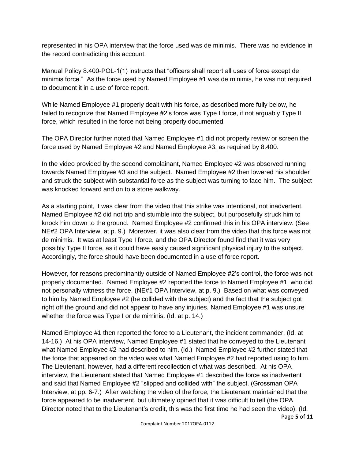represented in his OPA interview that the force used was de minimis. There was no evidence in the record contradicting this account.

Manual Policy 8.400-POL-1(1) instructs that "officers shall report all uses of force except de minimis force." As the force used by Named Employee #1 was de minimis, he was not required to document it in a use of force report.

While Named Employee #1 properly dealt with his force, as described more fully below, he failed to recognize that Named Employee #2's force was Type I force, if not arguably Type II force, which resulted in the force not being properly documented.

The OPA Director further noted that Named Employee #1 did not properly review or screen the force used by Named Employee #2 and Named Employee #3, as required by 8.400.

In the video provided by the second complainant, Named Employee #2 was observed running towards Named Employee #3 and the subject. Named Employee #2 then lowered his shoulder and struck the subject with substantial force as the subject was turning to face him. The subject was knocked forward and on to a stone walkway.

As a starting point, it was clear from the video that this strike was intentional, not inadvertent. Named Employee #2 did not trip and stumble into the subject, but purposefully struck him to knock him down to the ground. Named Employee #2 confirmed this in his OPA interview. (See NE#2 OPA Interview, at p. 9.) Moreover, it was also clear from the video that this force was not de minimis. It was at least Type I force, and the OPA Director found find that it was very possibly Type II force, as it could have easily caused significant physical injury to the subject. Accordingly, the force should have been documented in a use of force report.

However, for reasons predominantly outside of Named Employee #2's control, the force was not properly documented. Named Employee #2 reported the force to Named Employee #1, who did not personally witness the force. (NE#1 OPA Interview, at p. 9.) Based on what was conveyed to him by Named Employee #2 (he collided with the subject) and the fact that the subject got right off the ground and did not appear to have any injuries, Named Employee #1 was unsure whether the force was Type I or de miminis. (Id. at p. 14.)

Named Employee #1 then reported the force to a Lieutenant, the incident commander. (Id. at 14-16.) At his OPA interview, Named Employee #1 stated that he conveyed to the Lieutenant what Named Employee #2 had described to him. (Id.) Named Employee #2 further stated that the force that appeared on the video was what Named Employee #2 had reported using to him. The Lieutenant, however, had a different recollection of what was described. At his OPA interview, the Lieutenant stated that Named Employee #1 described the force as inadvertent and said that Named Employee #2 "slipped and collided with" the subject. (Grossman OPA Interview, at pp. 6-7.) After watching the video of the force, the Lieutenant maintained that the force appeared to be inadvertent, but ultimately opined that it was difficult to tell (the OPA Director noted that to the Lieutenant's credit, this was the first time he had seen the video). (Id.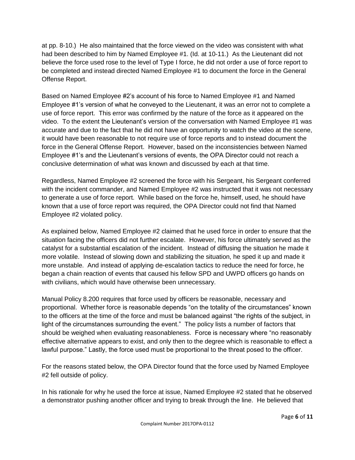at pp. 8-10.) He also maintained that the force viewed on the video was consistent with what had been described to him by Named Employee #1. (Id. at 10-11.) As the Lieutenant did not believe the force used rose to the level of Type I force, he did not order a use of force report to be completed and instead directed Named Employee #1 to document the force in the General Offense Report.

Based on Named Employee #2's account of his force to Named Employee #1 and Named Employee #1's version of what he conveyed to the Lieutenant, it was an error not to complete a use of force report. This error was confirmed by the nature of the force as it appeared on the video. To the extent the Lieutenant's version of the conversation with Named Employee #1 was accurate and due to the fact that he did not have an opportunity to watch the video at the scene, it would have been reasonable to not require use of force reports and to instead document the force in the General Offense Report. However, based on the inconsistencies between Named Employee #1's and the Lieutenant's versions of events, the OPA Director could not reach a conclusive determination of what was known and discussed by each at that time.

Regardless, Named Employee #2 screened the force with his Sergeant, his Sergeant conferred with the incident commander, and Named Employee #2 was instructed that it was not necessary to generate a use of force report. While based on the force he, himself, used, he should have known that a use of force report was required, the OPA Director could not find that Named Employee #2 violated policy.

As explained below, Named Employee #2 claimed that he used force in order to ensure that the situation facing the officers did not further escalate. However, his force ultimately served as the catalyst for a substantial escalation of the incident. Instead of diffusing the situation he made it more volatile. Instead of slowing down and stabilizing the situation, he sped it up and made it more unstable. And instead of applying de-escalation tactics to reduce the need for force, he began a chain reaction of events that caused his fellow SPD and UWPD officers go hands on with civilians, which would have otherwise been unnecessary.

Manual Policy 8.200 requires that force used by officers be reasonable, necessary and proportional. Whether force is reasonable depends "on the totality of the circumstances" known to the officers at the time of the force and must be balanced against "the rights of the subject, in light of the circumstances surrounding the event." The policy lists a number of factors that should be weighed when evaluating reasonableness. Force is necessary where "no reasonably effective alternative appears to exist, and only then to the degree which is reasonable to effect a lawful purpose." Lastly, the force used must be proportional to the threat posed to the officer.

For the reasons stated below, the OPA Director found that the force used by Named Employee #2 fell outside of policy.

In his rationale for why he used the force at issue, Named Employee #2 stated that he observed a demonstrator pushing another officer and trying to break through the line. He believed that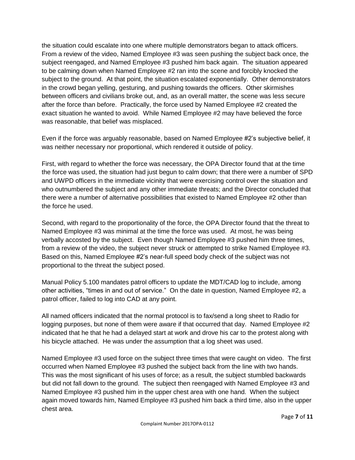the situation could escalate into one where multiple demonstrators began to attack officers. From a review of the video, Named Employee #3 was seen pushing the subject back once, the subject reengaged, and Named Employee #3 pushed him back again. The situation appeared to be calming down when Named Employee #2 ran into the scene and forcibly knocked the subject to the ground. At that point, the situation escalated exponentially. Other demonstrators in the crowd began yelling, gesturing, and pushing towards the officers. Other skirmishes between officers and civilians broke out, and, as an overall matter, the scene was less secure after the force than before. Practically, the force used by Named Employee #2 created the exact situation he wanted to avoid. While Named Employee #2 may have believed the force was reasonable, that belief was misplaced.

Even if the force was arguably reasonable, based on Named Employee #2's subjective belief, it was neither necessary nor proportional, which rendered it outside of policy.

First, with regard to whether the force was necessary, the OPA Director found that at the time the force was used, the situation had just begun to calm down; that there were a number of SPD and UWPD officers in the immediate vicinity that were exercising control over the situation and who outnumbered the subject and any other immediate threats; and the Director concluded that there were a number of alternative possibilities that existed to Named Employee #2 other than the force he used.

Second, with regard to the proportionality of the force, the OPA Director found that the threat to Named Employee #3 was minimal at the time the force was used. At most, he was being verbally accosted by the subject. Even though Named Employee #3 pushed him three times, from a review of the video, the subject never struck or attempted to strike Named Employee #3. Based on this, Named Employee #2's near-full speed body check of the subject was not proportional to the threat the subject posed.

Manual Policy 5.100 mandates patrol officers to update the MDT/CAD log to include, among other activities, "times in and out of service." On the date in question, Named Employee #2, a patrol officer, failed to log into CAD at any point.

All named officers indicated that the normal protocol is to fax/send a long sheet to Radio for logging purposes, but none of them were aware if that occurred that day. Named Employee #2 indicated that he that he had a delayed start at work and drove his car to the protest along with his bicycle attached. He was under the assumption that a log sheet was used.

Named Employee #3 used force on the subject three times that were caught on video. The first occurred when Named Employee #3 pushed the subject back from the line with two hands. This was the most significant of his uses of force; as a result, the subject stumbled backwards but did not fall down to the ground. The subject then reengaged with Named Employee #3 and Named Employee #3 pushed him in the upper chest area with one hand. When the subject again moved towards him, Named Employee #3 pushed him back a third time, also in the upper chest area.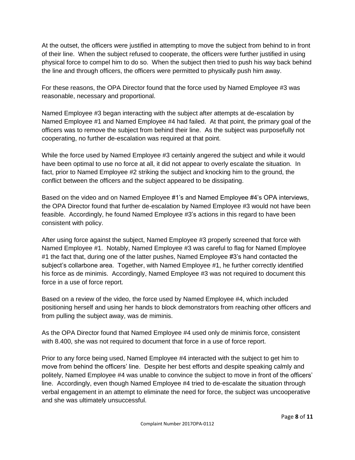At the outset, the officers were justified in attempting to move the subject from behind to in front of their line. When the subject refused to cooperate, the officers were further justified in using physical force to compel him to do so. When the subject then tried to push his way back behind the line and through officers, the officers were permitted to physically push him away.

For these reasons, the OPA Director found that the force used by Named Employee #3 was reasonable, necessary and proportional.

Named Employee #3 began interacting with the subject after attempts at de-escalation by Named Employee #1 and Named Employee #4 had failed. At that point, the primary goal of the officers was to remove the subject from behind their line. As the subject was purposefully not cooperating, no further de-escalation was required at that point.

While the force used by Named Employee #3 certainly angered the subject and while it would have been optimal to use no force at all, it did not appear to overly escalate the situation. In fact, prior to Named Employee #2 striking the subject and knocking him to the ground, the conflict between the officers and the subject appeared to be dissipating.

Based on the video and on Named Employee #1's and Named Employee #4's OPA interviews, the OPA Director found that further de-escalation by Named Employee #3 would not have been feasible. Accordingly, he found Named Employee #3's actions in this regard to have been consistent with policy.

After using force against the subject, Named Employee #3 properly screened that force with Named Employee #1. Notably, Named Employee #3 was careful to flag for Named Employee #1 the fact that, during one of the latter pushes, Named Employee #3's hand contacted the subject's collarbone area. Together, with Named Employee #1, he further correctly identified his force as de minimis. Accordingly, Named Employee #3 was not required to document this force in a use of force report.

Based on a review of the video, the force used by Named Employee #4, which included positioning herself and using her hands to block demonstrators from reaching other officers and from pulling the subject away, was de miminis.

As the OPA Director found that Named Employee #4 used only de minimis force, consistent with 8.400, she was not required to document that force in a use of force report.

Prior to any force being used, Named Employee #4 interacted with the subject to get him to move from behind the officers' line. Despite her best efforts and despite speaking calmly and politely, Named Employee #4 was unable to convince the subject to move in front of the officers' line. Accordingly, even though Named Employee #4 tried to de-escalate the situation through verbal engagement in an attempt to eliminate the need for force, the subject was uncooperative and she was ultimately unsuccessful.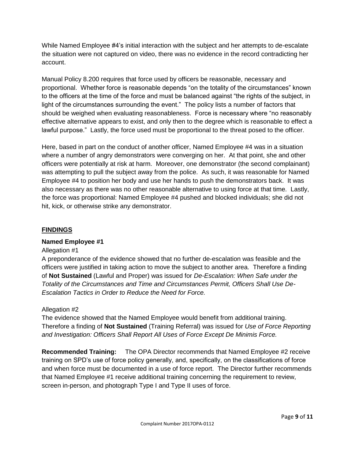While Named Employee #4's initial interaction with the subject and her attempts to de-escalate the situation were not captured on video, there was no evidence in the record contradicting her account.

Manual Policy 8.200 requires that force used by officers be reasonable, necessary and proportional. Whether force is reasonable depends "on the totality of the circumstances" known to the officers at the time of the force and must be balanced against "the rights of the subject, in light of the circumstances surrounding the event." The policy lists a number of factors that should be weighed when evaluating reasonableness. Force is necessary where "no reasonably effective alternative appears to exist, and only then to the degree which is reasonable to effect a lawful purpose." Lastly, the force used must be proportional to the threat posed to the officer.

Here, based in part on the conduct of another officer, Named Employee #4 was in a situation where a number of angry demonstrators were converging on her. At that point, she and other officers were potentially at risk at harm. Moreover, one demonstrator (the second complainant) was attempting to pull the subject away from the police. As such, it was reasonable for Named Employee #4 to position her body and use her hands to push the demonstrators back. It was also necessary as there was no other reasonable alternative to using force at that time. Lastly, the force was proportional: Named Employee #4 pushed and blocked individuals; she did not hit, kick, or otherwise strike any demonstrator.

#### **FINDINGS**

#### **Named Employee #1**

#### Allegation #1

A preponderance of the evidence showed that no further de-escalation was feasible and the officers were justified in taking action to move the subject to another area. Therefore a finding of **Not Sustained** (Lawful and Proper) was issued for *De-Escalation: When Safe under the Totality of the Circumstances and Time and Circumstances Permit, Officers Shall Use De-Escalation Tactics in Order to Reduce the Need for Force.*

#### Allegation #2

The evidence showed that the Named Employee would benefit from additional training. Therefore a finding of **Not Sustained** (Training Referral) was issued for *Use of Force Reporting and Investigation: Officers Shall Report All Uses of Force Except De Minimis Force.*

**Recommended Training:** The OPA Director recommends that Named Employee #2 receive training on SPD's use of force policy generally, and, specifically, on the classifications of force and when force must be documented in a use of force report. The Director further recommends that Named Employee #1 receive additional training concerning the requirement to review, screen in-person, and photograph Type I and Type II uses of force.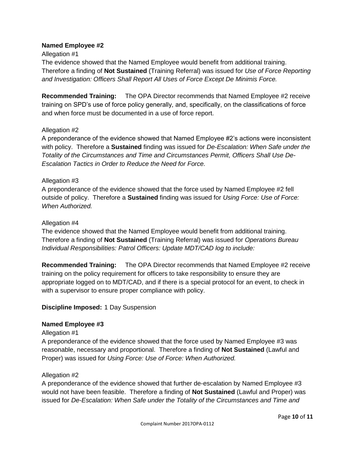#### **Named Employee #2**

#### Allegation #1

The evidence showed that the Named Employee would benefit from additional training. Therefore a finding of **Not Sustained** (Training Referral) was issued for *Use of Force Reporting and Investigation: Officers Shall Report All Uses of Force Except De Minimis Force.*

**Recommended Training:** The OPA Director recommends that Named Employee #2 receive training on SPD's use of force policy generally, and, specifically, on the classifications of force and when force must be documented in a use of force report.

#### Allegation #2

A preponderance of the evidence showed that Named Employee #2's actions were inconsistent with policy. Therefore a **Sustained** finding was issued for *De-Escalation: When Safe under the Totality of the Circumstances and Time and Circumstances Permit, Officers Shall Use De-Escalation Tactics in Order to Reduce the Need for Force.*

#### Allegation #3

A preponderance of the evidence showed that the force used by Named Employee #2 fell outside of policy. Therefore a **Sustained** finding was issued for *Using Force: Use of Force: When Authorized.*

#### Allegation #4

The evidence showed that the Named Employee would benefit from additional training. Therefore a finding of **Not Sustained** (Training Referral) was issued for *Operations Bureau Individual Responsibilities: Patrol Officers: Update MDT/CAD log to include:*

**Recommended Training:** The OPA Director recommends that Named Employee #2 receive training on the policy requirement for officers to take responsibility to ensure they are appropriate logged on to MDT/CAD, and if there is a special protocol for an event, to check in with a supervisor to ensure proper compliance with policy.

#### **Discipline Imposed:** 1 Day Suspension

#### **Named Employee #3**

Allegation #1

A preponderance of the evidence showed that the force used by Named Employee #3 was reasonable, necessary and proportional. Therefore a finding of **Not Sustained** (Lawful and Proper) was issued for *Using Force: Use of Force: When Authorized.*

#### Allegation #2

A preponderance of the evidence showed that further de-escalation by Named Employee #3 would not have been feasible. Therefore a finding of **Not Sustained** (Lawful and Proper) was issued for *De-Escalation: When Safe under the Totality of the Circumstances and Time and*